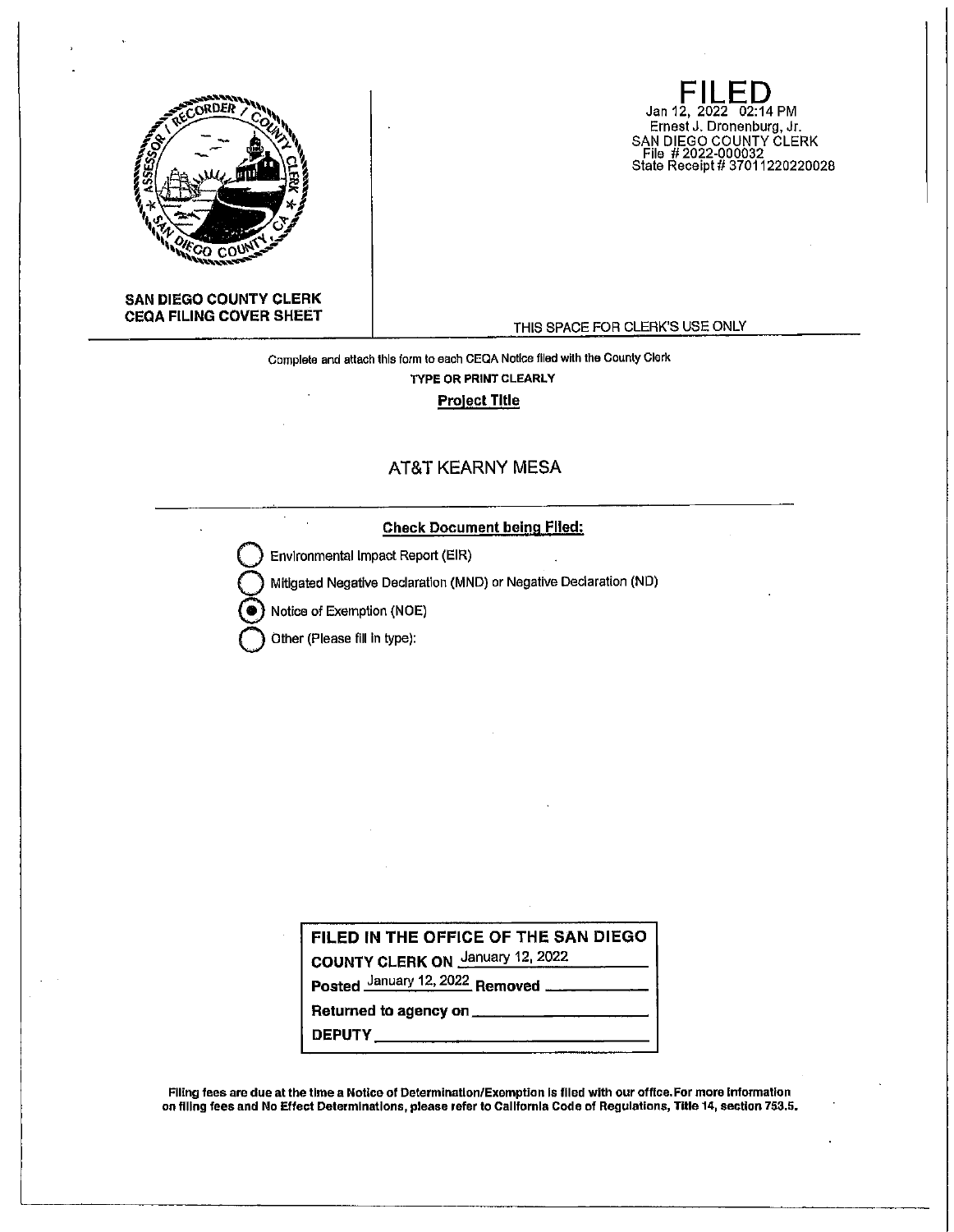

Jan 12, 2022 02:14 PM Ernest J. Dronenburg, Jr. SAN DIEGO COUNTY CLERK File # 2022-000032 State Receipt# 37011220220028

**SAN DIEGO COUNTY CLERK** 

### THIS SPACE FOR CLERK'S USE ONLY

# **Complete and attach this form to each CEQA Notice flied with the County Clerk TYPE OR PRINT CLEARLY**

**Prolect Title** 

## AT&T KEARNY MESA

### **Check Document being Flied:**

Environmental Impact Report (EIR)

**Q** Mitigated Negative Declaration (MND) or Negative Declaration (ND)

 $\bigcirc$  Notice of Exemption (NOE)

**Other (Please fill in type):** 

**FILED IN THE OFFICE OF THE SAN DIEGO** 

**COUNTY CLERK ON** January 12, 2022

**Posted** January 12• 2022 **Removed** \_\_\_\_\_ \_

**Returned to agency on \_\_\_\_\_\_\_\_\_ \_ DEPUTY \_\_\_\_\_\_\_\_\_\_\_\_\_ \_** 

**FIiing fees are due at the time a Notice of Determination/Exemption Is filed with our office.For more Information on flllng fees and No Effect Determinations, please refer to California Code of Regulations, Title 14, section 753.5.**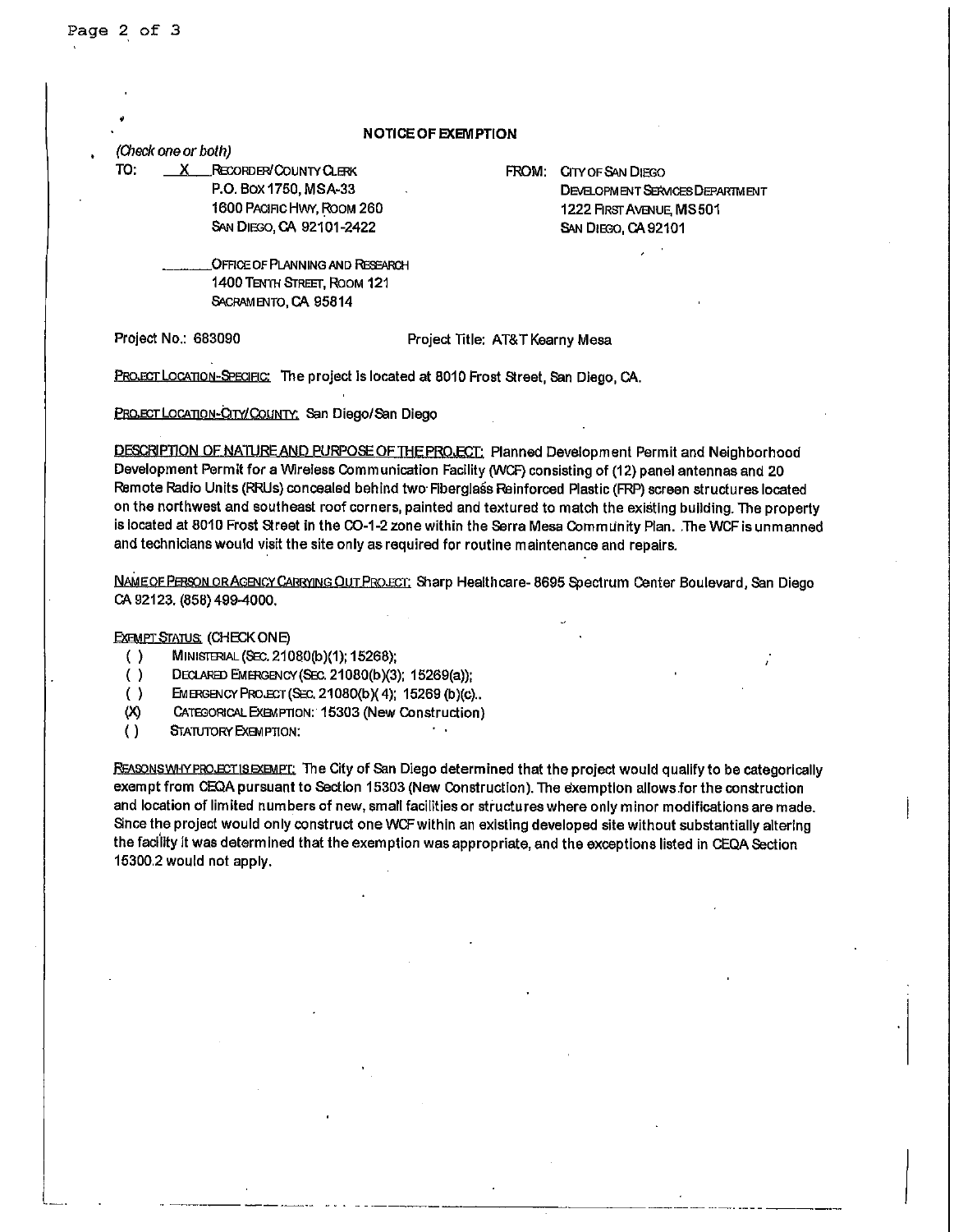#### **NOTICE OF EXEMPTION**

(Check one or both)

TO: **X RECORDER/COUNTY CLERK** P.O. Box 1750, MSA-33 1600 PACIFIC HWY, RooM 260 SAN DIEGO, CA 92101-2422

> OFFICE OF PLANNING AND RESEARCH 1400 TENTH STREET, ROOM 121 SACRAMENTO, CA 95814

FROM: CITY OF SAN DIEGO DEVELOPM ENT SERVICES DEPARTMENT 1222 FIRsrAVENUE, MS501 SAN DIEGO, CA 92101

Project No.: 683090 **Project Title: AT&T Kearny Mesa** 

PRO, ECT LOCATION-SPECIFIC; The project is located at 8010 Frost Street, San Diego, CA.

PRO ECT LOCATION-CITY/COUNTY: San Diego/San Diego

DESCRIPTION OF NATURE AND PURPOSE OF THE PRO, ECT: Planned Development Permit and Neighborhood Development Permit for a Wireless Communication Facility (WCF) consisting of (12) panel antennas and 20 Remote Radio Units (RRUs) concealed behind two-Fiberglass Reinforced Plastic (FRP) screen structures located on the northwest and southeast roof corners, painted and textured to match the existing building. The property is located at 8010 Frost Street in the CO-1-2 zone within the Serra Mesa Community Plan. The WCF is unmanned and technicians would visit the site only as required for routine maintenance and repairs.

NAMEOF PERSON OR AGENCY CARRYING OUT PRO.ECT: Sharp Healthcare- 8695 Spectrum Center Boulevard, San Diego CA 92123. (858) 499-4000.

#### EXEMPT STATUS: (CHECKONE)

- ( ) MINISTERIAL (SEc. 21080(b)(1); 15268);
- ( ) DECLARED EMERGENCY(SEc. 21080(b)(3); 15269(a));
- () EMERGENCY PRO.ECT (SEC. 21080(b)(4); 15269 (b)(c)..
- (X) CATEGORICAL EXEMPTION: 15303 (New Construction)
- ( ) STATUTORY EXEMPTION:

REASONS WHY PRO.ECT IS EXEMPT. The City of San Diego determined that the project would qualify to be categorically exempt from CEQA pursuant to Section 15303 (New Construction). The exemption allows for the construction and location of limited numbers of new, small facilities or structures where only minor modifications are made. Since the project would only construct one WCFwithin an existing developed site without substantially altering the faci'llty it was determined that the exemption was appropriate, and the exceptions listed in CEQA Section 15300.2 would not apply.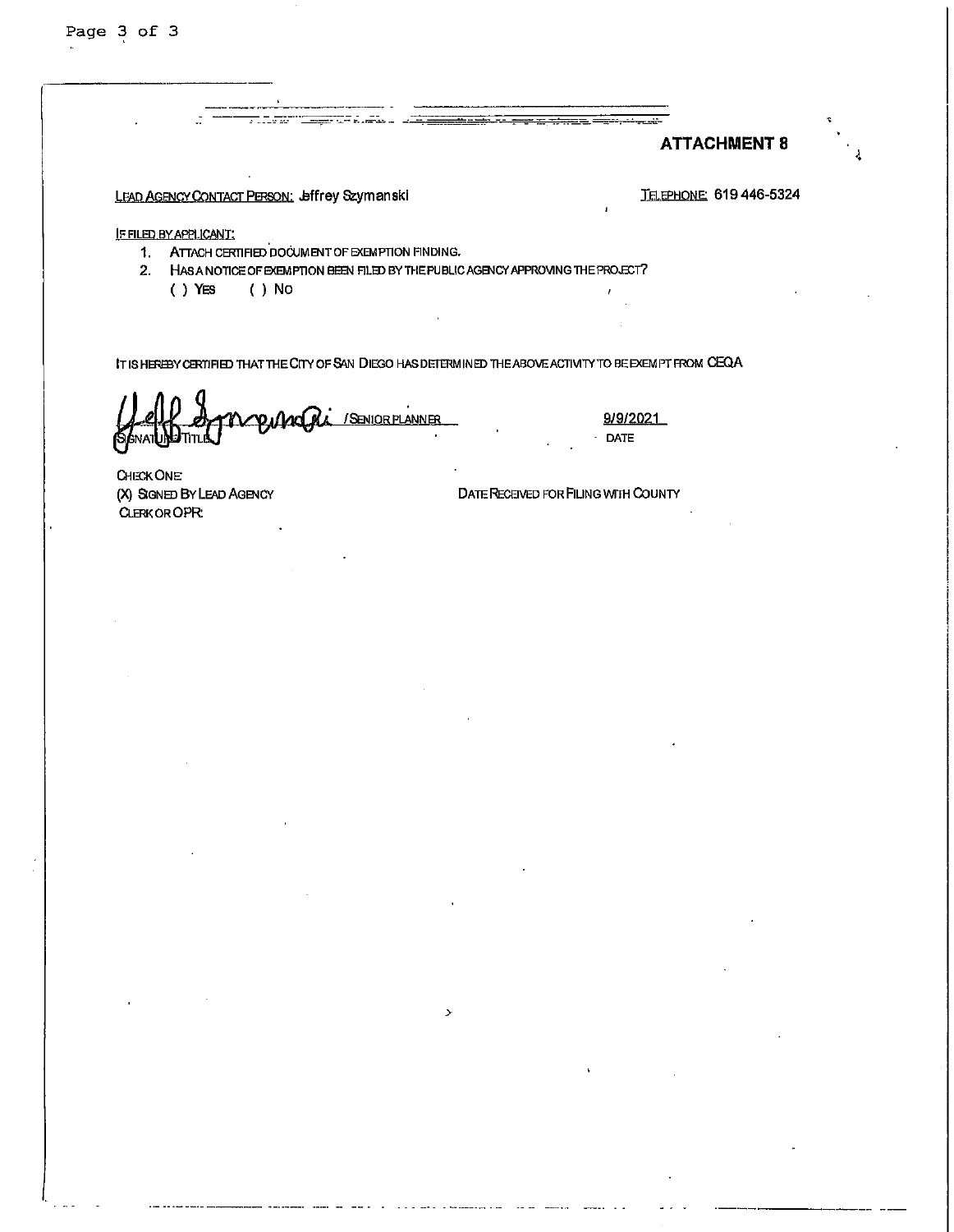Page 3 of 3

## **ATTACHMENT 8**

LEAD AGENCY CONTACT PERSON: Leffrey Szymanski

೧೯೯೯

**TELEPHONE: 619 446-5324** 

**IF FILED BY APPLICANT:** 

- 1. ATTACH CERTIFIED DOCUMENT OF EXEMPTION FINDING.
- 2. HAS A NOTICE OF EXEMPTION BEEN FILED BY THE PUBLIC AGENCY APPROVING THE PROJECT?

 $( )$  YES ( ) No

IT IS HEREBY CERTIFIED THAT THE CITY OF SAN DIEGO HAS DETERMINED THE ABOVE ACTIVITY TO BE EXEMPT FROM CEQA

 $\mathcal{P}$ 

/SENIORPLANNER

9/9/2021 · DATE

**CHECK ONE** (X) SIGNED BY LEAD AGENCY **CLERK OR OPR:** 

DATE RECEIVED FOR FILING WITH COUNTY

<del>- 1. . . . .</del>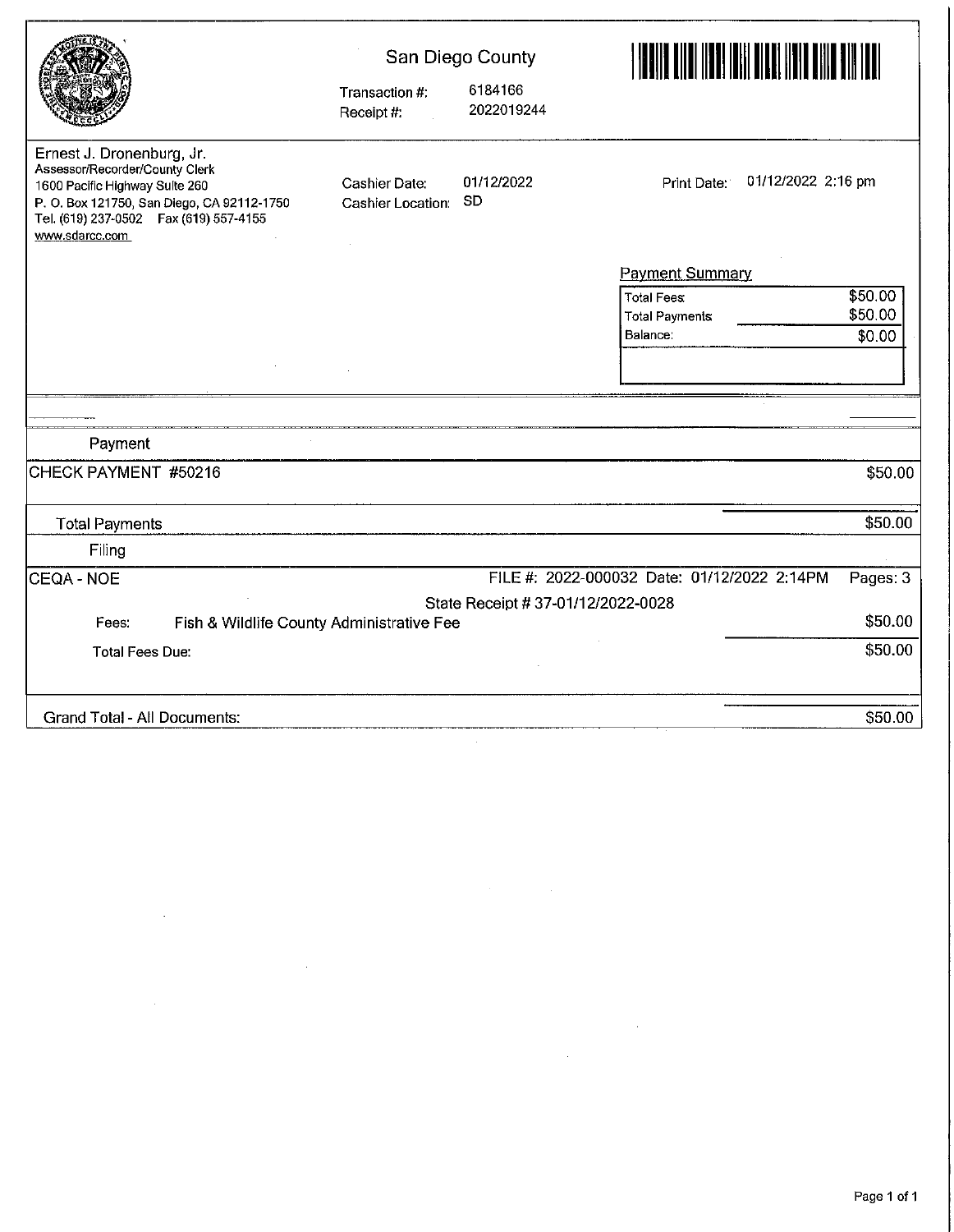|                                                                                                                                                                                                          | San Diego County                                 |                                    | <u>E TERLET ALLEN I SERIE SERIE STATISTIK I STATISTIK SOM AT ET STATISTIK SOM AT ET STATISTIK SOM AT ET STATISTIK</u> |          |
|----------------------------------------------------------------------------------------------------------------------------------------------------------------------------------------------------------|--------------------------------------------------|------------------------------------|-----------------------------------------------------------------------------------------------------------------------|----------|
|                                                                                                                                                                                                          | Transaction #:<br>Receipt#:                      | 6184166<br>2022019244              |                                                                                                                       |          |
| Ernest J. Dronenburg, Jr.<br>Assessor/Recorder/County Clerk<br>1600 Pacific Highway Sulte 260<br>P. O. Box 121750, San Diego, CA 92112-1750<br>Tel. (619) 237-0502  Fax (619) 557-4155<br>www.sdarcc.com | <b>Cashier Date:</b><br><b>Cashier Location:</b> | 01/12/2022<br>SD                   | 01/12/2022 2:16 pm<br>Print Date:                                                                                     |          |
|                                                                                                                                                                                                          |                                                  |                                    | <b>Payment Summary</b>                                                                                                |          |
|                                                                                                                                                                                                          |                                                  |                                    | <b>Total Fees:</b>                                                                                                    | \$50.00  |
|                                                                                                                                                                                                          |                                                  |                                    | <b>Total Payments</b>                                                                                                 | \$50.00  |
|                                                                                                                                                                                                          |                                                  |                                    | Balance:                                                                                                              | \$0.00   |
|                                                                                                                                                                                                          |                                                  |                                    |                                                                                                                       |          |
|                                                                                                                                                                                                          |                                                  |                                    |                                                                                                                       |          |
| Payment                                                                                                                                                                                                  |                                                  |                                    |                                                                                                                       |          |
| CHECK PAYMENT #50216                                                                                                                                                                                     |                                                  |                                    |                                                                                                                       | \$50.00  |
| <b>Total Payments</b>                                                                                                                                                                                    |                                                  |                                    |                                                                                                                       | \$50.00  |
| Filing                                                                                                                                                                                                   |                                                  |                                    |                                                                                                                       |          |
| CEQA - NOE                                                                                                                                                                                               |                                                  |                                    | FILE #: 2022-000032 Date: 01/12/2022 2:14PM                                                                           | Pages: 3 |
|                                                                                                                                                                                                          |                                                  | State Receipt # 37-01/12/2022-0028 |                                                                                                                       |          |
| Fish & Wildlife County Administrative Fee<br>Fees.                                                                                                                                                       |                                                  |                                    |                                                                                                                       | \$50.00  |
| <b>Total Fees Due:</b>                                                                                                                                                                                   |                                                  |                                    |                                                                                                                       | \$50.00  |
| Grand Total - All Documents:                                                                                                                                                                             |                                                  |                                    |                                                                                                                       | \$50.00  |

 $\label{eq:2.1} \frac{1}{\sqrt{2}}\left(\frac{1}{\sqrt{2}}\right)^{2} \left(\frac{1}{\sqrt{2}}\right)^{2} \left(\frac{1}{\sqrt{2}}\right)^{2} \left(\frac{1}{\sqrt{2}}\right)^{2} \left(\frac{1}{\sqrt{2}}\right)^{2} \left(\frac{1}{\sqrt{2}}\right)^{2} \left(\frac{1}{\sqrt{2}}\right)^{2} \left(\frac{1}{\sqrt{2}}\right)^{2} \left(\frac{1}{\sqrt{2}}\right)^{2} \left(\frac{1}{\sqrt{2}}\right)^{2} \left(\frac{1}{\sqrt{2}}\right)^{2} \left(\$ 

 $\sim 10^7$ 

 $\sim 10^6$ 

 $\label{eq:2.1} \frac{1}{\sqrt{2}}\int_{0}^{\infty}\frac{1}{\sqrt{2\pi}}\left(\frac{1}{\sqrt{2}}\right)^{2}d\mu_{\rm{max}}\left(\frac{1}{\sqrt{2}}\right).$